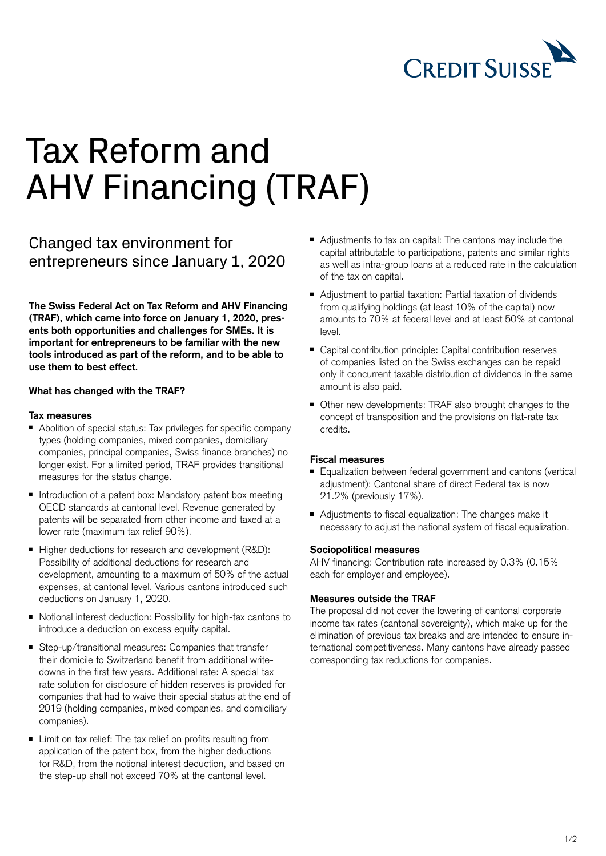

# Tax Reform and AHV Financing (TRAF)

## Changed tax environment for entrepreneurs since January 1, 2020

**The Swiss Federal Act on Tax Reform and AHV Financing (TRAF), which came into force on January 1, 2020, presents both opportunities and challenges for SMEs. It is important for entrepreneurs to be familiar with the new tools introduced as part of the reform, and to be able to use them to best effect.** 

#### **What has changed with the TRAF?**

#### **Tax measures**

- Abolition of special status: Tax privileges for specific company types (holding companies, mixed companies, domiciliary companies, principal companies, Swiss finance branches) no longer exist. For a limited period, TRAF provides transitional measures for the status change.
- Introduction of a patent box: Mandatory patent box meeting OECD standards at cantonal level. Revenue generated by patents will be separated from other income and taxed at a lower rate (maximum tax relief 90%).
- Higher deductions for research and development (R&D): Possibility of additional deductions for research and development, amounting to a maximum of 50% of the actual expenses, at cantonal level. Various cantons introduced such deductions on January 1, 2020.
- Notional interest deduction: Possibility for high-tax cantons to introduce a deduction on excess equity capital.
- Step-up/transitional measures: Companies that transfer their domicile to Switzerland benefit from additional writedowns in the first few years. Additional rate: A special tax rate solution for disclosure of hidden reserves is provided for companies that had to waive their special status at the end of 2019 (holding companies, mixed companies, and domiciliary companies).
- Limit on tax relief: The tax relief on profits resulting from application of the patent box, from the higher deductions for R&D, from the notional interest deduction, and based on the step-up shall not exceed 70% at the cantonal level.
- Adjustments to tax on capital: The cantons may include the capital attributable to participations, patents and similar rights as well as intra-group loans at a reduced rate in the calculation of the tax on capital.
- Adjustment to partial taxation: Partial taxation of dividends from qualifying holdings (at least 10% of the capital) now amounts to 70% at federal level and at least 50% at cantonal level.
- Capital contribution principle: Capital contribution reserves of companies listed on the Swiss exchanges can be repaid only if concurrent taxable distribution of dividends in the same amount is also paid.
- Other new developments: TRAF also brought changes to the concept of transposition and the provisions on flat-rate tax credits.

### **Fiscal measures**

- Equalization between federal government and cantons (vertical adjustment): Cantonal share of direct Federal tax is now 21.2% (previously 17%).
- Adjustments to fiscal equalization: The changes make it necessary to adjust the national system of fiscal equalization.

#### **Sociopolitical measures**

AHV financing: Contribution rate increased by 0.3% (0.15% each for employer and employee).

#### **Measures outside the TRAF**

The proposal did not cover the lowering of cantonal corporate income tax rates (cantonal sovereignty), which make up for the elimination of previous tax breaks and are intended to ensure international competitiveness. Many cantons have already passed corresponding tax reductions for companies.